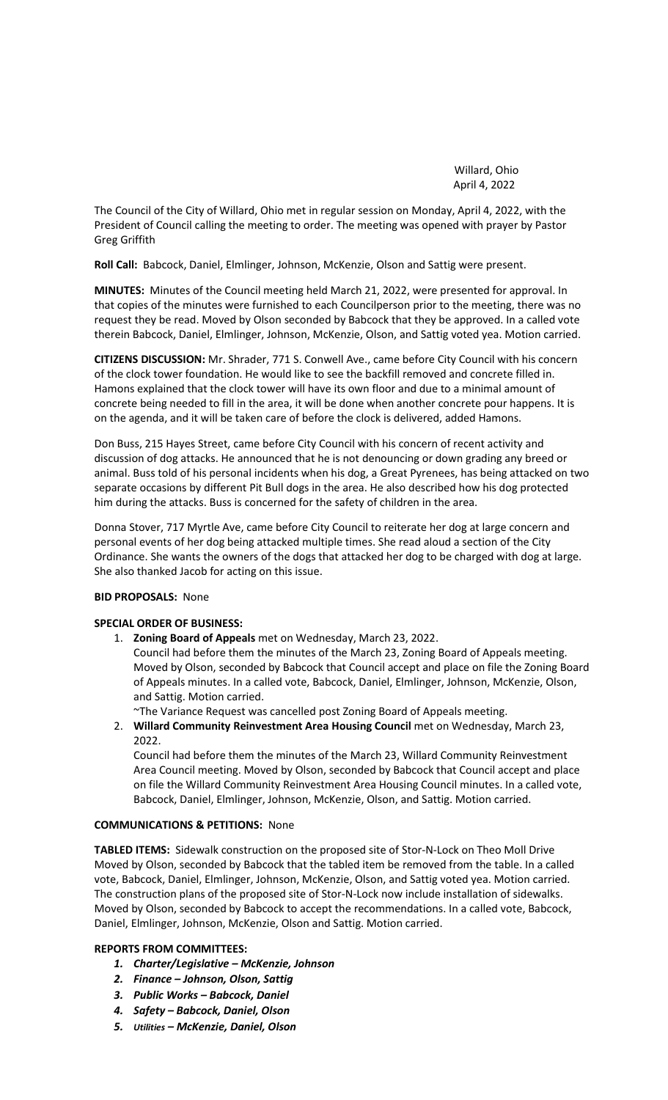Willard, Ohio April 4, 2022

The Council of the City of Willard, Ohio met in regular session on Monday, April 4, 2022, with the President of Council calling the meeting to order. The meeting was opened with prayer by Pastor Greg Griffith

**Roll Call:** Babcock, Daniel, Elmlinger, Johnson, McKenzie, Olson and Sattig were present.

**MINUTES:** Minutes of the Council meeting held March 21, 2022, were presented for approval. In that copies of the minutes were furnished to each Councilperson prior to the meeting, there was no request they be read. Moved by Olson seconded by Babcock that they be approved. In a called vote therein Babcock, Daniel, Elmlinger, Johnson, McKenzie, Olson, and Sattig voted yea. Motion carried.

**CITIZENS DISCUSSION:** Mr. Shrader, 771 S. Conwell Ave., came before City Council with his concern of the clock tower foundation. He would like to see the backfill removed and concrete filled in. Hamons explained that the clock tower will have its own floor and due to a minimal amount of concrete being needed to fill in the area, it will be done when another concrete pour happens. It is on the agenda, and it will be taken care of before the clock is delivered, added Hamons.

Don Buss, 215 Hayes Street, came before City Council with his concern of recent activity and discussion of dog attacks. He announced that he is not denouncing or down grading any breed or animal. Buss told of his personal incidents when his dog, a Great Pyrenees, has being attacked on two separate occasions by different Pit Bull dogs in the area. He also described how his dog protected him during the attacks. Buss is concerned for the safety of children in the area.

Donna Stover, 717 Myrtle Ave, came before City Council to reiterate her dog at large concern and personal events of her dog being attacked multiple times. She read aloud a section of the City Ordinance. She wants the owners of the dogs that attacked her dog to be charged with dog at large. She also thanked Jacob for acting on this issue.

# **BID PROPOSALS:** None

# **SPECIAL ORDER OF BUSINESS:**

1. **Zoning Board of Appeals** met on Wednesday, March 23, 2022.

Council had before them the minutes of the March 23, Zoning Board of Appeals meeting. Moved by Olson, seconded by Babcock that Council accept and place on file the Zoning Board of Appeals minutes. In a called vote, Babcock, Daniel, Elmlinger, Johnson, McKenzie, Olson, and Sattig. Motion carried.

~The Variance Request was cancelled post Zoning Board of Appeals meeting.

2. **Willard Community Reinvestment Area Housing Council** met on Wednesday, March 23, 2022.

Council had before them the minutes of the March 23, Willard Community Reinvestment Area Council meeting. Moved by Olson, seconded by Babcock that Council accept and place on file the Willard Community Reinvestment Area Housing Council minutes. In a called vote, Babcock, Daniel, Elmlinger, Johnson, McKenzie, Olson, and Sattig. Motion carried.

## **COMMUNICATIONS & PETITIONS:** None

**TABLED ITEMS:** Sidewalk construction on the proposed site of Stor-N-Lock on Theo Moll Drive Moved by Olson, seconded by Babcock that the tabled item be removed from the table. In a called vote, Babcock, Daniel, Elmlinger, Johnson, McKenzie, Olson, and Sattig voted yea. Motion carried. The construction plans of the proposed site of Stor-N-Lock now include installation of sidewalks. Moved by Olson, seconded by Babcock to accept the recommendations. In a called vote, Babcock, Daniel, Elmlinger, Johnson, McKenzie, Olson and Sattig. Motion carried.

# **REPORTS FROM COMMITTEES:**

- *1. Charter/Legislative – McKenzie, Johnson*
- *2. Finance – Johnson, Olson, Sattig*
- *3. Public Works – Babcock, Daniel*
- *4. Safety – Babcock, Daniel, Olson*
- *5. Utilities – McKenzie, Daniel, Olson*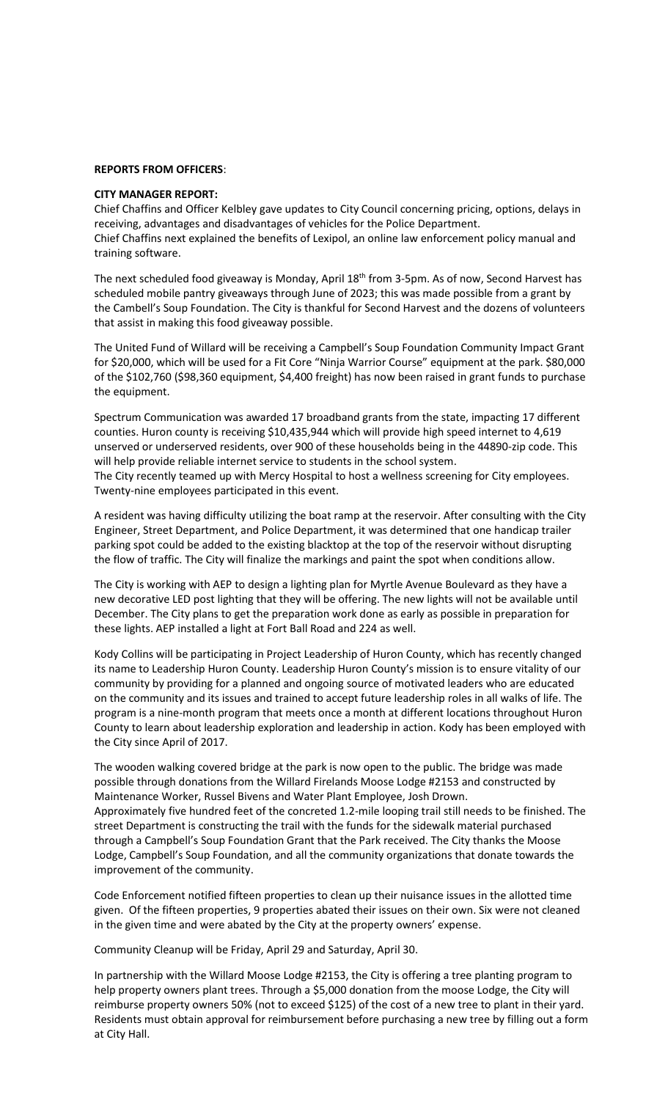#### **REPORTS FROM OFFICERS**:

## **CITY MANAGER REPORT:**

Chief Chaffins and Officer Kelbley gave updates to City Council concerning pricing, options, delays in receiving, advantages and disadvantages of vehicles for the Police Department. Chief Chaffins next explained the benefits of Lexipol, an online law enforcement policy manual and training software.

The next scheduled food giveaway is Monday, April 18<sup>th</sup> from 3-5pm. As of now, Second Harvest has scheduled mobile pantry giveaways through June of 2023; this was made possible from a grant by the Cambell's Soup Foundation. The City is thankful for Second Harvest and the dozens of volunteers that assist in making this food giveaway possible.

The United Fund of Willard will be receiving a Campbell's Soup Foundation Community Impact Grant for \$20,000, which will be used for a Fit Core "Ninja Warrior Course" equipment at the park. \$80,000 of the \$102,760 (\$98,360 equipment, \$4,400 freight) has now been raised in grant funds to purchase the equipment.

Spectrum Communication was awarded 17 broadband grants from the state, impacting 17 different counties. Huron county is receiving \$10,435,944 which will provide high speed internet to 4,619 unserved or underserved residents, over 900 of these households being in the 44890-zip code. This will help provide reliable internet service to students in the school system. The City recently teamed up with Mercy Hospital to host a wellness screening for City employees. Twenty-nine employees participated in this event.

A resident was having difficulty utilizing the boat ramp at the reservoir. After consulting with the City Engineer, Street Department, and Police Department, it was determined that one handicap trailer parking spot could be added to the existing blacktop at the top of the reservoir without disrupting the flow of traffic. The City will finalize the markings and paint the spot when conditions allow.

The City is working with AEP to design a lighting plan for Myrtle Avenue Boulevard as they have a new decorative LED post lighting that they will be offering. The new lights will not be available until December. The City plans to get the preparation work done as early as possible in preparation for these lights. AEP installed a light at Fort Ball Road and 224 as well.

Kody Collins will be participating in Project Leadership of Huron County, which has recently changed its name to Leadership Huron County. Leadership Huron County's mission is to ensure vitality of our community by providing for a planned and ongoing source of motivated leaders who are educated on the community and its issues and trained to accept future leadership roles in all walks of life. The program is a nine-month program that meets once a month at different locations throughout Huron County to learn about leadership exploration and leadership in action. Kody has been employed with the City since April of 2017.

The wooden walking covered bridge at the park is now open to the public. The bridge was made possible through donations from the Willard Firelands Moose Lodge #2153 and constructed by Maintenance Worker, Russel Bivens and Water Plant Employee, Josh Drown. Approximately five hundred feet of the concreted 1.2-mile looping trail still needs to be finished. The street Department is constructing the trail with the funds for the sidewalk material purchased through a Campbell's Soup Foundation Grant that the Park received. The City thanks the Moose Lodge, Campbell's Soup Foundation, and all the community organizations that donate towards the improvement of the community.

Code Enforcement notified fifteen properties to clean up their nuisance issues in the allotted time given. Of the fifteen properties, 9 properties abated their issues on their own. Six were not cleaned in the given time and were abated by the City at the property owners' expense.

Community Cleanup will be Friday, April 29 and Saturday, April 30.

In partnership with the Willard Moose Lodge #2153, the City is offering a tree planting program to help property owners plant trees. Through a \$5,000 donation from the moose Lodge, the City will reimburse property owners 50% (not to exceed \$125) of the cost of a new tree to plant in their yard. Residents must obtain approval for reimbursement before purchasing a new tree by filling out a form at City Hall.